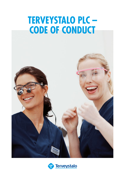# **TERVEYSTALO PLC -CODE OF CONDUCT**

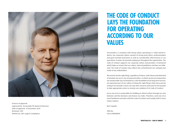

Process of approval: Approved by: Terveystalo Plc Board of Directors Date of approval: 12 December 2019 Reviewer: CEO Written by: SVP, Legal & Compliance

## **THE CODE OF CONDUCT LAYS THE FOUNDATION FOR OPERATING ACCORDING TO OUR VALUES**

Terveystalo is a company with strong values operating in a value-based industry. Our corporate culture consists of strong work ethics, professionalism and goal-oriented teamwork as well as considerable effectiveness in our operations. It unites Terveystalo employees throughout the organization. The Code of Conduct supports our corporate culture and provides a framework which helps us ensure that our values, internal guidelines and laws are followed. The Code of Conduct also reflects the commitments our company has made to key stakeholders.

We need to do the right thing, regardless of where, with whom and what kind of situation we are in. Our strong work ethics, in which we do not compromise our morals under any circumstances, is the foundation of our long-term success. An important part of our culture of doing the right thing is that every person acting in Terveystalo's name can raise their concerns and count on Terveystalo to take appropriate action to remedy any violation of its Code of Conduct.

Every one of us is responsible for building an ethical culture through our own behavior and the decisions and choices we make. Therefore, each one of us must familiarize ourselves with the Code of Conduct and comply with it. Every choice matters.

Best regards,

Ville Iho CEO & PRESIDENT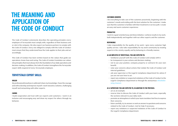## **THE MEANING AND APPLICATION OF THE CODE OF CONDUCT**

The Code of Conduct extensively describes the operating principles every employee of Terveystalo must comply with, regardless of their business unit or role in the company. We also expect our business partners to comply with the Code of Conduct. Every one obliged to comply with the Code of Conduct must ensure that they understand how the Code applies to their jobs and act accordingly.

This Code of Conduct has been written based on the values that guide our operations: know-how and caring. The Code of Conduct translates our values into principles that must always form the foundation of our daily operations and decision-making. In addition, the Code of Conduct strengthens the Terveystalo expert skills required of every Terveystalo employee.

### **TERVEYSTALO EXPERT SKILLS:**

#### **SKILLED**

My professional knowhow is solid and I share my knowledge. I have the courage and will to develop and improve myself. I work towards a solution, challenging myself and networking with other experts.

#### **CARING**

I build cooperation and trust with our experts and customers. I work in an inclusive and encouraging way and show my respect for others through my behavior.

#### **CUSTOMER-ORIENTED**

I do everything to take care of the customer proactively, beginning with the customer's needs and ending with the best solution for the customer. I make sure that the customer is familiar with their treatment or service path. I create an easy and warm customer experience.

#### **PRODUCTIVE**

I work in a goal-oriented way and show initiative. I achieve results in my work, both independently and together with our other experts and the customer.

#### **RESPONSIBLE**

I take responsibility for the quality of my work. I give every customer high quality service. I also take responsibility for my work community by treating experts in the vicinity equally and by behaving in a friendly manner.

#### **AS AN EMPLOYEE OF TERVEYSTALO, YOU ARE EXPECTED TO:**

- familiarize yourself with this Code of Conduct and comply with it.
- be transparent in your actions and decision-making.
- not to use your position, company property or contracts for your own benefit.
- raise your concerns about actions that violate the Code of Conduct and internal guidelines.
- ask your supervisor or the Legal & Compliance department for advice if you are not sure how to act.
- report any violation or suspected violations of the Code of Conduct to the Legal & Compliance department or through the anonymous [whistleblo](https://report.whistleb.com/en/terveystalo)[wing channel.](https://report.whistleb.com/en/terveystalo)

#### **AS A SUPERVISOR YOU ARE EXPECTED TO, IN ADDITION TO THE PREVIOUS:**

- act as an example.
- reserve time to discuss the Code of Conduct with your team, especially the sections relevant to your daily work.
- promote an atmosphere in which your team members feel free to express their concerns.
- listen carefully, try to answer or seek an answer to questions and concerns related to the Code of Conduct. Ask for help if necessary.
- report any violations or suspected violations of the Code of Conduct to the Legal & Compliance department.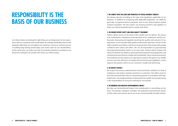# **RESPONSIBILITY IS THE BASIS OF OUR BUSINESS**

An ethical culture and doing the right thing are an integral part of our operations, both as a company and as individuals. By making sustainable choices and doing the right thing, we strengthen our customers' trust in us, achieve success in building long-lasting partnerships and create value for our shareholders. At the same time, we make sure that Terveystalo maintains its position as an attractive workplace for people who share our ethical values.

#### **1. WE COMPLY WITH THE LAWS AND PRINCIPLES OF ETHICAL BUSINESS CONDUCT**

We always operate according to the laws and regulations applicable to our business. In addition to complying with applicable legislation, we abide by generally recognized ethical standards, such as the United Nations Global Compact principles. We also expect our business partners and suppliers to share our ethical standards and to comply with them.

#### **2. WE ENSURE PATIENT SAFETY AND HIGH-QUALITY TREATMENT**

Patient safety serves as the basis of the health care we deliver. We ensure it by verifying the competence and education of our employees and by continuously measuring and regularly reporting the quality and outcome of our operations. At Terveystalo high-quality professional expertise consists of the skills needed in procedures and those required when interacting with people combined with values and ethics. We are all responsible for guaranteeing uncompromised patient safety in our own work. Patient safety involves the safety of medical care delivery, pharmaceutical treatment and equipment, and common processes that we comply with consistently. These common processes and methods are described in our operations manual. The goals of our health services are to be effective, to comply with clinical practice guidelines, and to improve the positive effect on our customers' health and well-being.

#### **3. WE RESPECT PRIVACY**

We respect the privacy and protection of personal data, whether it is that of employees, job seekers, business partners or customers. We collect, process and store personal data only for consented purposes in accordance with applicable laws. The implementation of data protection within Terveystalo Group is the responsibility of everyone working for Terveystalo.

#### **4. WE MINIMIZE OUR NEGATIVE ENVIRONMENTAL IMPACT**

We take our environmental impact into consideration in everything we do. Every Terveystalo employee considers the potential environmental impact of their daily work and we aim to act in an environmentally friendly manner.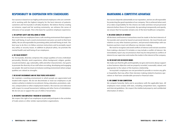## **RESPONSIBILITY IN COOPERATION WITH STAKEHOLDERS**

Our success is based on our highly professional employees who are committed to working with the highest integrity for the best interests of patients, customers and Terveystalo in all daily situations. We believe that by creating an inclusive, equal and fair working community, we enhance the sense of relevance of our people. This is the basis for a positive employee experience.

#### **5. WE SUPPORT SAFETY AND WELL-BEING AT WORK**

We ensure that our employees have a safe working environment that supports their well-being. In such a work environment everyone can work to their best ability. We are all responsible for promoting safety and well-being at work. The best way to do this is to follow common instructions and to promptly report any safety or security issues. In addition to physical safety, we promote the mental health and well-being of our employees.

#### **6. WE VALUE DIVERSITY**

For Terveystalo, diversity comprises the unique qualities of every individual: personality, lifestyle, work experience, ethnic background, religion, gender, sexual orientation, age, nationality, skills and other characteristics. Our goal is to promote the diversity of our staff when recruiting, developing and engaging our people. We want to ensure an inclusive working environment where unique qualities are valued as strengths.

#### **7. WE DO NOT DISCRIMINATE AND WE TREAT PEOPLE WITH RESPECT**

We maintain a working environment in which people are appreciated and treated with respect. We do not discriminate or treat our employees or job seekers unfairly in relation to recruitment, hiring, education, promotions, salaries, compensation or other employment matters. We exercise zero tolerance with respect to sexual harassment, bullying and other forms of intimidation. We do not use or support the use of child or forced labor.

#### **8. WE RESPECT OUR EMPLOYEES' FREEDOM OF ASSOCIATION**

We respect the right of our employees to join and participate in the activities of trade unions or other similar representative organizations.

### **MAINTAINING A COMPETITIVE ADVANTAGE**

Our success depends substantially on our reputation, and we are all responsible for protecting the good reputation of our company. This is achieved when each of us takes responsibility for the choices we make and does not put personal interests before those of Terveystalo. By operating transparently and openly, we ensure that Terveystalo remains one of the best healthcare companies.

#### **9. WE AVOID CONFLICTS OF INTEREST**

All decisions and business transactions must be made in the best interests of Terveystalo and cannot be based on personal interests. We treat friends and relatives as any other business partners, and personal relationships with our business partners must not influence our decision-making.

We need to recognize and avoid conflicts of interest and restrain ourselves from making a decision if it includes or may include a conflict of interest. We immediately report any circumstances that may be interpreted as conflicts of interest to our supervisor and resolve the matter in the interest of the company.

#### **10. WE DO NOT GIVE OR RECEIVE BRIBES**

We make sure that the gifts and hospitality we give and receive always support a clear business objective and are properly recorded, reasonably valued, and appropriate to the nature of the business relationship.

Terveystalo's employees are not permitted to provide or receive any gifts or hospitality that may affect their decision-making related to business operations or that have considerable personal or financial value.

#### **11. WE COMMIT TO FAIR COMPETITION**

We compete honestly, fairly and in accordance with the applicable laws. All employees must comply with laws, including competition laws, regulations and internal guidelines. We respect the intellectual property and confidential information of others.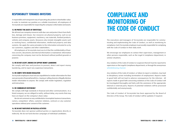## **RESPONSIBILITY TOWARDS INVESTORS**

A responsible and transparent way of operating also protects shareholder value. In order to maintain our position as a reliable investment, all employees of Terveystalo are responsible for respecting the company's information and assets.

#### **12. WE PROTECT THE ASSETS OF TERVEYSTALO**

We all must use company resources with due care and protect them from theft, loss, damage and misuse. Our resources are physical property, such as our business premises, equipment, machinery, raw materials, finished products, vehicles and company assets. Resources also include intangible assets such as working hours, confidential information, intellectual property and data systems. We apply the same principles to the information entrusted to us by our customers, suppliers and other stakeholders.

All employees at Terveystalo must see to it that the confidentiality of business secrets, documents and internal information is maintained. Information concerning the company must not be disclosed without justified grounds or purpose.

#### **13. WE DO NOT ACCEPT, ENDORSE OR SUPPORT MONEY LAUNDERING**

We comply with laws and practices to prevent, detect and report money laundering, and to report any suspicious transactions.

#### **14. WE COMPLY WITH INSIDER REGULATION**

Terveystalo employees must not use unpublished or insider information for their own personal or financial benefit (i.e., buying or selling shares) or illegally disclose insider information to anyone. We comply with insider legislation, regulation and instructions.

#### **15. WE COMMUNICATE RESPONSIBLY**

We comply with high standards in financial and other communications. As a listed company, we are obliged to notify, without delay, any events that may have an impact on the company's share value.

We do not comment on any confidential or incomplete business transactions, rumors, competitors' affairs, customer relations, contracts or any customer operations without prior consent of the customer.

#### **16. WE DO NOT PARTICIPATE IN POLITICAL ACTIVITIES**

Terveystalo does not sponsor political parties or organizations directly or indirectly. We do not fund election campaigns of individual candidates.

## **COMPLIANCE AND MONITORING OF THE CODE OF CONDUCT**

The executives and managers of Terveystalo are responsible for communicating and implementing the Code of Conduct, as well as monitoring its compliance. Each Terveystalo employee is personally responsible for complying with the Code of Conduct in their daily work.

We encourage our employees to contact their supervisors, management or other persons responsible, such as the Legal & Compliance department, in unclear situations.

Any violation of the Code of Conduct or suspicion thereof must be reported to supervisors or the Legal & Compliance department, or through the anonymous [whistleblowing channel](https://report.whistleb.com/en/terveystalo).

Any violation of the Code of Conduct, or failure to report a violation, may lead to disciplinary action including termination of employment. Reports made in good faith will not lead to adverse consequences for the informer. All reports made in good faith concerning violations of the Code of Conduct will be investigated thoroughly and fairly with the assistance of the appropriate internal or external party. Reports of potential violations will be processed confidentially and anonymously.

The Code of Conduct of Terveystalo has been approved by the Board of Directors of the Group. The Code of Conduct will be updated, if required.